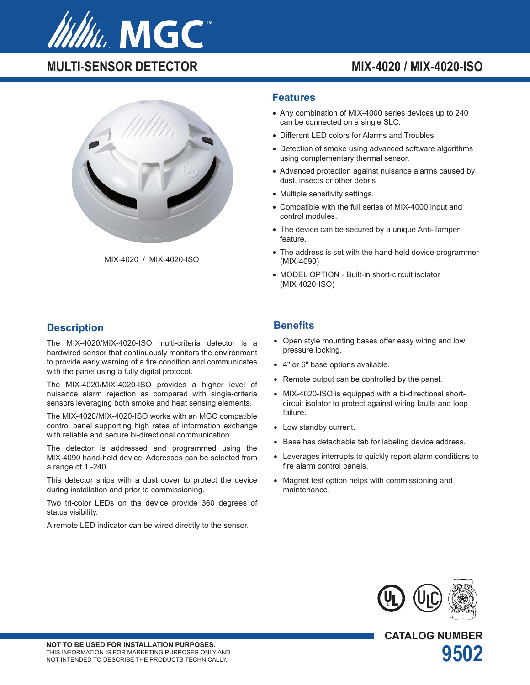

# **MULTI-SENSOR DETECTOR MIX-4020 / MIX-4020-ISO**



MIX-4020 / MIX-4020-ISO

### **Description**

The MIX-4020/MIX-4020-ISO multi-criteria detector is a hardwired sensor that continuously monitors the environment to provide early warning of a fire condition and communicates with the panel using a fully digital protocol.

The MIX-4020/MIX-4020-ISO provides a higher level of nuisance alarm rejection as compared with single-criteria sensors leveraging both smoke and heat sensing elements.

The MIX-4020/MIX-4020-ISO works with an MGC compatible control panel supporting high rates of information exchange with reliable and secure bi-directional communication.

The detector is addressed and programmed using the MIX-4090 hand-held device. Addresses can be selected from a range of 1 -240.

This detector ships with a dust cover to protect the device during installation and prior to commissioning.

Two tri-color LEDs on the device provide 360 degrees of status visibility.

A remote LED indicator can be wired directly to the sensor.

#### **Features**

- Any combination of MIX-4000 series devices up to 240 can be connected on a single SLC.
- Different LED colors for Alarms and Troubles.
- Detection of smoke using advanced software algorithms using complementary thermal sensor.
- Advanced protection against nuisance alarms caused by dust, insects or other debris
- Multiple sensitivity settings.
- Compatible with the full series of MIX-4000 input and control modules.
- The device can be secured by a unique Anti-Tamper feature.
- The address is set with the hand-held device programmer (MIX-4090)
- MODEL OPTION Built-in short-circuit isolator (MIX 4020-ISO)

#### **Benefits**

- Open style mounting bases offer easy wiring and low pressure locking.
- 4" or 6" base options available.
- Remote output can be controlled by the panel.
- MIX-4020-ISO is equipped with a bi-directional shortcircuit isolator to protect against wiring faults and loop failure.
- Low standby current.
- Base has detachable tab for labeling device address.
- Leverages interrupts to quickly report alarm conditions to fire alarm control panels.
- Magnet test option helps with commissioning and maintenance.



**CATALOG NUMBER**